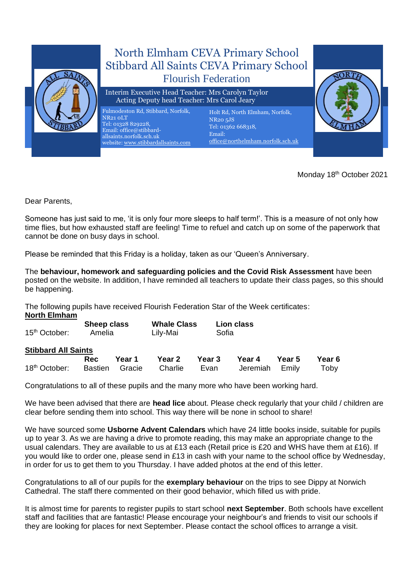

Monday 18<sup>th</sup> October 2021

Dear Parents,

Someone has just said to me, 'it is only four more sleeps to half term!'. This is a measure of not only how time flies, but how exhausted staff are feeling! Time to refuel and catch up on some of the paperwork that cannot be done on busy days in school.

Please be reminded that this Friday is a holiday, taken as our 'Queen's Anniversary.

The **behaviour, homework and safeguarding policies and the Covid Risk Assessment** have been posted on the website. In addition, I have reminded all teachers to update their class pages, so this should be happening.

The following pupils have received Flourish Federation Star of the Week certificates: **North Elmham**

| 15 <sup>th</sup> October:  | Sheep class<br>Amelia | <b>Whale Class</b><br>Lily-Mai | <b>Lion class</b><br>Sofia |  |
|----------------------------|-----------------------|--------------------------------|----------------------------|--|
| <b>Stibbard All Saints</b> |                       |                                |                            |  |

|                                                                           |  |  |  |  | Rec Year 1 Year 2 Year 3 Year 4 Year 5 Year 6 |  |  |  |  |  |
|---------------------------------------------------------------------------|--|--|--|--|-----------------------------------------------|--|--|--|--|--|
| 18 <sup>th</sup> October: Bastien Gracie Charlie Evan Jeremiah Emily Toby |  |  |  |  |                                               |  |  |  |  |  |

Congratulations to all of these pupils and the many more who have been working hard.

We have been advised that there are **head lice** about. Please check regularly that your child / children are clear before sending them into school. This way there will be none in school to share!

We have sourced some **Usborne Advent Calendars** which have 24 little books inside, suitable for pupils up to year 3. As we are having a drive to promote reading, this may make an appropriate change to the usual calendars. They are available to us at £13 each (Retail price is £20 and WHS have them at £16). If you would like to order one, please send in £13 in cash with your name to the school office by Wednesday, in order for us to get them to you Thursday. I have added photos at the end of this letter.

Congratulations to all of our pupils for the **exemplary behaviour** on the trips to see Dippy at Norwich Cathedral. The staff there commented on their good behavior, which filled us with pride.

It is almost time for parents to register pupils to start school **next September**. Both schools have excellent staff and facilities that are fantastic! Please encourage your neighbour's and friends to visit our schools if they are looking for places for next September. Please contact the school offices to arrange a visit.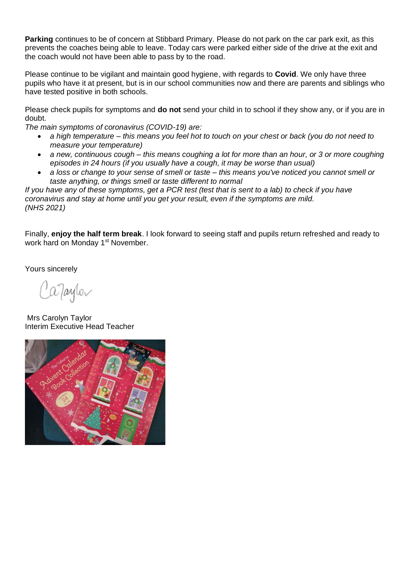**Parking** continues to be of concern at Stibbard Primary. Please do not park on the car park exit, as this prevents the coaches being able to leave. Today cars were parked either side of the drive at the exit and the coach would not have been able to pass by to the road.

Please continue to be vigilant and maintain good hygiene, with regards to **Covid**. We only have three pupils who have it at present, but is in our school communities now and there are parents and siblings who have tested positive in both schools.

Please check pupils for symptoms and **do not** send your child in to school if they show any, or if you are in doubt.

*The main symptoms of coronavirus (COVID-19) are:*

- *a high temperature – this means you feel hot to touch on your chest or back (you do not need to measure your temperature)*
- *a new, continuous cough – this means coughing a lot for more than an hour, or 3 or more coughing episodes in 24 hours (if you usually have a cough, it may be worse than usual)*
- *a loss or change to your sense of smell or taste – this means you've noticed you cannot smell or taste anything, or things smell or taste different to normal*

*If you have any of these symptoms, get a PCR test (test that is sent to a lab) to check if you have coronavirus and stay at home until you get your result, even if the symptoms are mild. (NHS 2021)*

Finally, **enjoy the half term break**. I look forward to seeing staff and pupils return refreshed and ready to work hard on Monday 1<sup>st</sup> November.

Yours sincerely

aJaylor

Mrs Carolyn Taylor Interim Executive Head Teacher